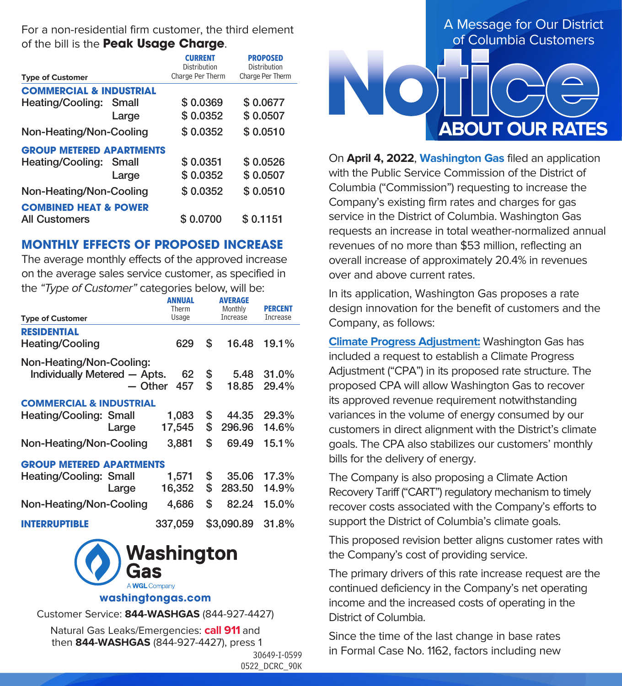

On **April 4, 2022**, **Washington Gas** filed an application with the Public Service Commission of the District of Columbia ("Commission") requesting to increase the Company's existing firm rates and charges for gas service in the District of Columbia. Washington Gas requests an increase in total weather-normalized annual revenues of no more than \$53 million, reflecting an overall increase of approximately 20.4% in revenues over and above current rates.

In its application, Washington Gas proposes a rate design innovation for the benefit of customers and the Company, as follows:

**Climate Progress Adjustment:** Washington Gas has included a request to establish a Climate Progress Adjustment ("CPA") in its proposed rate structure. The proposed CPA will allow Washington Gas to recover its approved revenue requirement notwithstanding variances in the volume of energy consumed by our customers in direct alignment with the District's climate goals. The CPA also stabilizes our customers' monthly bills for the delivery of energy.

The Company is also proposing a Climate Action Recovery Tariff ("CART") regulatory mechanism to timely recover costs associated with the Company's efforts to support the District of Columbia's climate goals.

This proposed revision better aligns customer rates with the Company's cost of providing service.

The primary drivers of this rate increase request are the continued deficiency in the Company's net operating income and the increased costs of operating in the District of Columbia.

Since the time of the last change in base rates in Formal Case No. 1162, factors including new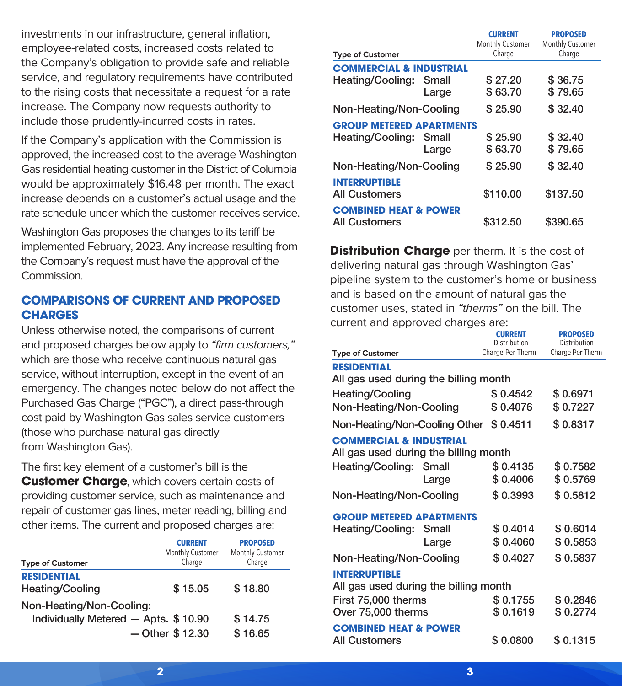investments in our infrastructure, general inflation, employee-related costs, increased costs related to the Company's obligation to provide safe and reliable service, and regulatory requirements have contributed to the rising costs that necessitate a request for a rate increase. The Company now requests authority to include those prudently-incurred costs in rates.

If the Company's application with the Commission is approved, the increased cost to the average Washington Gas residential heating customer in the District of Columbia would be approximately \$16.48 per month. The exact increase depends on a customer's actual usage and the rate schedule under which the customer receives service.

Washington Gas proposes the changes to its tariff be implemented February, 2023. Any increase resulting from the Company's request must have the approval of the Commission.

## **COMPARISONS OF CURRENT AND PROPOSED CHARGES**

Unless otherwise noted, the comparisons of current and proposed charges below apply to "firm customers," which are those who receive continuous natural gas service, without interruption, except in the event of an emergency. The changes noted below do not affect the Purchased Gas Charge ("PGC"), a direct pass-through cost paid by Washington Gas sales service customers (those who purchase natural gas directly from Washington Gas).

The first key element of a customer's bill is the **Customer Charge**, which covers certain costs of providing customer service, such as maintenance and repair of customer gas lines, meter reading, billing and other items. The current and proposed charges are:

| <b>Type of Customer</b>                                          | <b>CURRENT</b><br>Monthly Customer<br>Charge | <b>PROPOSED</b><br>Monthly Customer<br>Charge |
|------------------------------------------------------------------|----------------------------------------------|-----------------------------------------------|
| <b>RESIDENTIAL</b><br>Heating/Cooling                            | \$15.05                                      | \$18.80                                       |
| Non-Heating/Non-Cooling:<br>Individually Metered - Apts. \$10.90 |                                              | \$14.75                                       |
|                                                                  | $-$ Other \$12.30                            | \$16.65                                       |

|                                              |       | <b>CURRENT</b><br><b>Monthly Customer</b> | <b>PROPOSED</b><br>Monthly Customer |  |
|----------------------------------------------|-------|-------------------------------------------|-------------------------------------|--|
| <b>Type of Customer</b>                      |       | Charge                                    | Charge                              |  |
| <b>COMMERCIAL &amp; INDUSTRIAL</b>           |       |                                           |                                     |  |
| Heating/Cooling:                             | Small | \$27.20                                   | \$36.75                             |  |
|                                              | Large | \$63.70                                   | \$79.65                             |  |
| Non-Heating/Non-Cooling                      |       | \$25.90                                   | \$32.40                             |  |
| <b>GROUP METERED APARTMENTS</b>              |       |                                           |                                     |  |
| Heating/Cooling:                             | Small | \$25.90                                   | \$32.40                             |  |
|                                              | Large | \$63.70                                   | \$79.65                             |  |
| Non-Heating/Non-Cooling                      |       | \$25.90                                   | \$32.40                             |  |
| <b>INTERRUPTIBLE</b><br><b>All Customers</b> |       | \$110.00                                  | \$137.50                            |  |
| <b>COMBINED HEAT &amp; POWER</b>             |       |                                           |                                     |  |
| <b>All Customers</b>                         |       | \$312.50                                  | \$390.65                            |  |

**Distribution Charge** per therm. It is the cost of delivering natural gas through Washington Gas' pipeline system to the customer's home or business and is based on the amount of natural gas the customer uses, stated in "therms" on the bill. The current and approved charges are:

|                                                                             | <b>CURRENT</b><br>Distribution | <b>PROPOSED</b><br>Distribution<br>Charge Per Therm |  |
|-----------------------------------------------------------------------------|--------------------------------|-----------------------------------------------------|--|
| <b>Type of Customer</b>                                                     | Charge Per Therm               |                                                     |  |
| <b>RESIDENTIAL</b><br>All gas used during the billing month                 |                                |                                                     |  |
| Heating/Cooling                                                             | \$0.4542                       | \$0.6971                                            |  |
| Non-Heating/Non-Cooling                                                     | \$0.4076                       | \$0.7227                                            |  |
| Non-Heating/Non-Cooling Other \$ 0.4511                                     |                                | \$0.8317                                            |  |
| <b>COMMERCIAL &amp; INDUSTRIAL</b><br>All gas used during the billing month |                                |                                                     |  |
| Heating/Cooling: Small                                                      | \$0.4135                       | \$0.7582                                            |  |
| Large                                                                       | \$0.4006                       | \$0.5769                                            |  |
| Non-Heating/Non-Cooling                                                     | \$0.3993                       | \$0.5812                                            |  |
| <b>GROUP METERED APARTMENTS</b>                                             |                                |                                                     |  |
| Heating/Cooling: Small                                                      | \$0.4014                       | \$0.6014                                            |  |
| Large                                                                       | \$0.4060                       | \$0.5853                                            |  |
| Non-Heating/Non-Cooling                                                     | \$0.4027                       | \$0.5837                                            |  |
| <b>INTERRUPTIBLE</b><br>All gas used during the billing month               |                                |                                                     |  |
| First 75,000 therms                                                         | \$0.1755                       | \$0.2846                                            |  |
| Over 75,000 therms                                                          | \$0.1619                       | \$0.2774                                            |  |
| <b>COMBINED HEAT &amp; POWER</b>                                            |                                |                                                     |  |
| <b>All Customers</b>                                                        | \$0.0800                       | \$0.1315                                            |  |
|                                                                             |                                |                                                     |  |